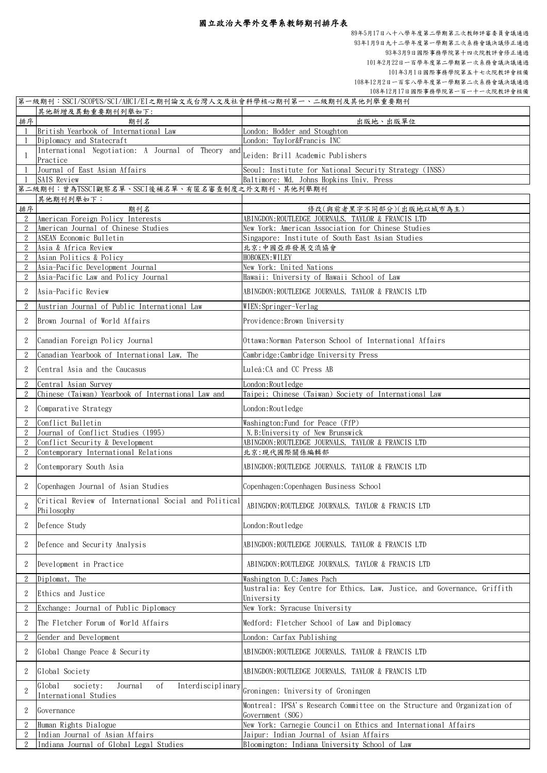|                | 第一級期刊:SSCI/SCOPUS/SCI/AHCI/EI之期刊論文或台灣人文及社會科學核心期刊第一、二級期刊及其他列舉重要期刊                     |                                                                          |
|----------------|--------------------------------------------------------------------------------------|--------------------------------------------------------------------------|
|                | 其他新增及異動重要期刊列舉如下:                                                                     |                                                                          |
| 排序             | 期刊名                                                                                  | 出版地、出版單位                                                                 |
|                | British Yearbook of International Law                                                | London: Hodder and Stoughton                                             |
|                | Diplomacy and Statecraft                                                             | London: Taylor&Francis INC                                               |
|                |                                                                                      |                                                                          |
|                | International Negotiation: A Journal of Theory and Leiden: Brill Academic Publishers |                                                                          |
|                | Practice                                                                             |                                                                          |
|                | Journal of East Asian Affairs                                                        | Seoul: Institute for National Security Strategy (INSS)                   |
|                | <b>SAIS Review</b>                                                                   | Baltimore: Md. Johns Hopkins Univ. Press                                 |
|                | 第二級期刊:曾為TSSCI觀察名單、SSCI後補名單、有匿名審查制度之外文期刊、其他列舉期刊                                       |                                                                          |
|                | 其他期刊列舉如下:                                                                            |                                                                          |
| 排序             | 期刊名                                                                                  | 修改(與前者黑字不同部分)(出版地以城市為主)                                                  |
|                | American Foreign Policy Interests                                                    | ABINGDON: ROUTLEDGE JOURNALS, TAYLOR & FRANCIS LTD                       |
|                |                                                                                      |                                                                          |
| $\overline{2}$ | American Journal of Chinese Studies                                                  | New York: American Association for Chinese Studies                       |
|                | ASEAN Economic Bulletin                                                              | Singapore: Institute of South East Asian Studies                         |
| $\overline{2}$ | Asia & Africa Review                                                                 | 北京:中國亞非發展交流協會                                                            |
| $\overline{2}$ | Asian Politics & Policy                                                              | HOBOKEN: WILEY                                                           |
|                | Asia-Pacific Development Journal                                                     | New York: United Nations                                                 |
|                | Asia-Pacific Law and Policy Journal                                                  | Hawaii: University of Hawaii School of Law                               |
|                |                                                                                      |                                                                          |
|                | Asia-Pacific Review                                                                  | ABINGDON: ROUTLEDGE JOURNALS, TAYLOR & FRANCIS LTD                       |
| $\overline{2}$ | Austrian Journal of Public International Law                                         | WIEN:Springer-Verlag                                                     |
|                |                                                                                      |                                                                          |
|                | Brown Journal of World Affairs                                                       | Providence: Brown University                                             |
|                |                                                                                      |                                                                          |
|                | Canadian Foreign Policy Journal                                                      | Ottawa:Norman Paterson School of International Affairs                   |
|                |                                                                                      |                                                                          |
|                | Canadian Yearbook of International Law, The                                          | Cambridge:Cambridge University Press                                     |
|                | Central Asia and the Caucasus                                                        | Luleå: CA and CC Press AB                                                |
|                |                                                                                      |                                                                          |
|                | Central Asian Survey                                                                 | London: Routledge                                                        |
|                | Chinese (Taiwan) Yearbook of International Law and                                   | Taipei; Chinese (Taiwan) Society of International Law                    |
|                |                                                                                      |                                                                          |
| 2              | Comparative Strategy                                                                 | London: Routledge                                                        |
| 2              | Conflict Bulletin                                                                    | Washington: Fund for Peace (FfP)                                         |
| $\overline{2}$ | Journal of Conflict Studies (1995)                                                   | N.B: University of New Brunswick                                         |
| $\overline{2}$ | Conflict Security & Development                                                      | ABINGDON: ROUTLEDGE JOURNALS, TAYLOR & FRANCIS LTD                       |
|                |                                                                                      |                                                                          |
| $\overline{2}$ | Contemporary International Relations                                                 | 北京:現代國際關係編輯部                                                             |
| $\overline{2}$ | Contemporary South Asia                                                              | ABINGDON: ROUTLEDGE JOURNALS, TAYLOR & FRANCIS LTD                       |
|                |                                                                                      |                                                                          |
|                | Copenhagen Journal of Asian Studies                                                  | Copenhagen: Copenhagen Business School                                   |
|                |                                                                                      |                                                                          |
| $\mathcal{P}$  | Critical Review of International Social and Political                                | ABINGDON: ROUTLEDGE JOURNALS, TAYLOR & FRANCIS LTD                       |
|                | Philosophy                                                                           |                                                                          |
|                |                                                                                      |                                                                          |
|                | Defence Study                                                                        | London:Routledge                                                         |
|                |                                                                                      |                                                                          |
|                | Defence and Security Analysis                                                        | ABINGDON: ROUTLEDGE JOURNALS, TAYLOR & FRANCIS LTD                       |
|                |                                                                                      |                                                                          |
|                | Development in Practice                                                              | ABINGDON: ROUTLEDGE JOURNALS, TAYLOR & FRANCIS LTD                       |
|                |                                                                                      |                                                                          |
| $\overline{2}$ | Diplomat, The                                                                        | Washington D.C: James Pach                                               |
|                | Ethics and Justice                                                                   | Australia: Key Centre for Ethics, Law, Justice, and Governance, Griffith |
|                |                                                                                      | University                                                               |
|                | Exchange: Journal of Public Diplomacy                                                | New York: Syracuse University                                            |
| $\overline{2}$ | The Fletcher Forum of World Affairs                                                  | Medford: Fletcher School of Law and Diplomacy                            |
|                |                                                                                      |                                                                          |
| $\overline{2}$ | Gender and Development                                                               | London: Carfax Publishing                                                |
|                |                                                                                      |                                                                          |
|                | Global Change Peace & Security                                                       | ABINGDON: ROUTLEDGE JOURNALS, TAYLOR & FRANCIS LTD                       |
|                |                                                                                      |                                                                          |
|                | Global Society                                                                       | ABINGDON: ROUTLEDGE JOURNALS, TAYLOR & FRANCIS LTD                       |
|                | Global<br>society:<br>Journal<br>οf                                                  |                                                                          |
| $\overline{2}$ | International Studies                                                                | Interdisciplinary Groningen: University of Groningen                     |
|                |                                                                                      |                                                                          |
| $\overline{2}$ | Governance                                                                           | Montreal: IPSA's Research Committee on the Structure and Organization of |
|                |                                                                                      | Government (SOG)                                                         |
|                | Human Rights Dialogue                                                                | New York: Carnegie Council on Ethics and International Affairs           |
| $\overline{2}$ | Indian Journal of Asian Affairs                                                      | Jaipur: Indian Journal of Asian Affairs                                  |
| 2              | Indiana Journal of Global Legal Studies                                              | Bloomington: Indiana University School of Law                            |

108年12月2日一百零八學年度第一學期第二次系務會議決議通過 108年12月17日國際事務學院第一百一十一次院教評會核備 89年5月17日八十八學年度第二學期第三次教師評審委員會議通過 93年1月9日九十二學年度第一學期第三次系務會議決議修正通過 93年3月9日國際事務學院第十四次院教評會修正通過 101年2月22日一百學年度第二學期第一次系務會議決議通過 101年3月1日國際事務學院第五十七次院教評會核備

## 國立政治大學外交學系教師期刊排序表